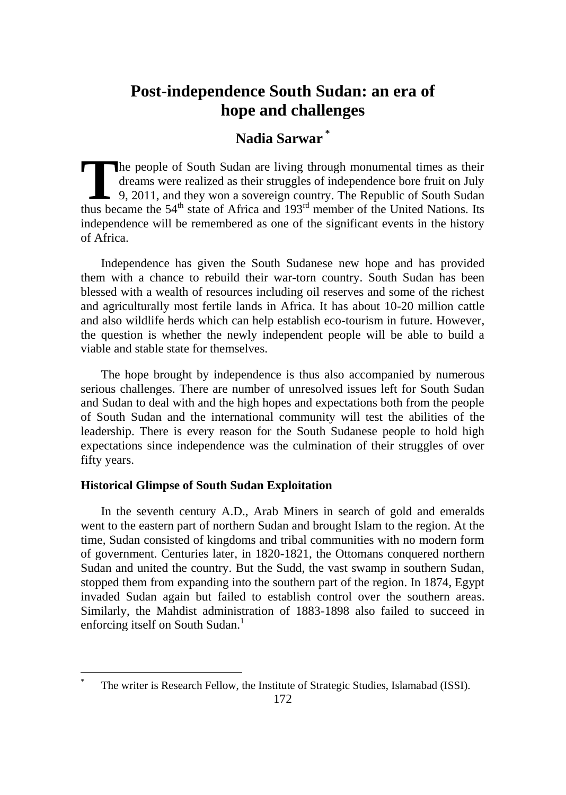# **Nadia Sarwar \***

he people of South Sudan are living through monumental times as their dreams were realized as their struggles of independence bore fruit on July  $\Box$  9, 2011, and they won a sovereign country. The Republic of South Sudan The people of South Sudan are living through monumental times as their dreams were realized as their struggles of independence bore fruit on July 9, 2011, and they won a sovereign country. The Republic of South Sudan thus independence will be remembered as one of the significant events in the history of Africa.

Independence has given the South Sudanese new hope and has provided them with a chance to rebuild their war-torn country. South Sudan has been blessed with a wealth of resources including oil reserves and some of the richest and agriculturally most fertile lands in Africa. It has about 10-20 million cattle and also wildlife herds which can help establish eco-tourism in future. However, the question is whether the newly independent people will be able to build a viable and stable state for themselves.

The hope brought by independence is thus also accompanied by numerous serious challenges. There are number of unresolved issues left for South Sudan and Sudan to deal with and the high hopes and expectations both from the people of South Sudan and the international community will test the abilities of the leadership. There is every reason for the South Sudanese people to hold high expectations since independence was the culmination of their struggles of over fifty years.

# **Historical Glimpse of South Sudan Exploitation**

 $\overline{a}$ 

In the seventh century A.D., Arab Miners in search of gold and emeralds went to the eastern part of northern Sudan and brought Islam to the region. At the time, Sudan consisted of kingdoms and tribal communities with no modern form of government. Centuries later, in 1820-1821, the Ottomans conquered northern Sudan and united the country. But the Sudd, the vast swamp in southern Sudan, stopped them from expanding into the southern part of the region. In 1874, Egypt invaded Sudan again but failed to establish control over the southern areas. Similarly, the Mahdist administration of 1883-1898 also failed to succeed in enforcing itself on South Sudan.<sup>1</sup>

The writer is Research Fellow, the Institute of Strategic Studies, Islamabad (ISSI).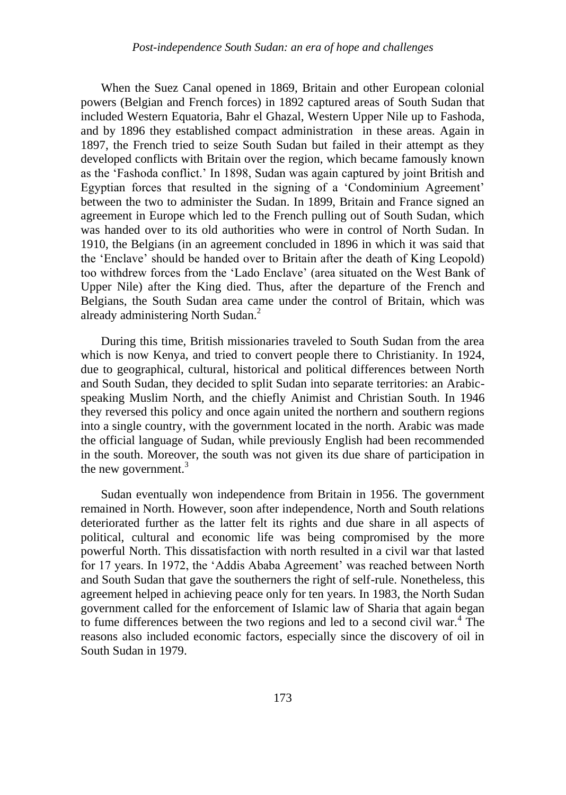When the Suez Canal opened in 1869, Britain and other European colonial powers (Belgian and French forces) in 1892 captured areas of South Sudan that included Western Equatoria, Bahr el Ghazal, Western Upper Nile up to Fashoda, and by 1896 they established compact administration in these areas. Again in 1897, the French tried to seize South Sudan but failed in their attempt as they developed conflicts with Britain over the region, which became famously known as the "Fashoda conflict." In 1898, Sudan was again captured by joint British and Egyptian forces that resulted in the signing of a "Condominium Agreement" between the two to administer the Sudan. In 1899, Britain and France signed an agreement in Europe which led to the French pulling out of South Sudan, which was handed over to its old authorities who were in control of North Sudan. In 1910, the Belgians (in an agreement concluded in 1896 in which it was said that the "Enclave" should be handed over to Britain after the death of King Leopold) too withdrew forces from the "Lado Enclave" (area situated on the West Bank of Upper Nile) after the King died. Thus, after the departure of the French and Belgians, the South Sudan area came under the control of Britain, which was already administering North Sudan.<sup>2</sup>

During this time, British missionaries traveled to South Sudan from the area which is now Kenya, and tried to convert people there to Christianity. In 1924, due to geographical, cultural, historical and political differences between North and South Sudan, they decided to split Sudan into separate territories: an Arabicspeaking Muslim North, and the chiefly Animist and Christian South. In 1946 they reversed this policy and once again united the northern and southern regions into a single country, with the government located in the north. Arabic was made the official language of Sudan, while previously English had been recommended in the south. Moreover, the south was not given its due share of participation in the new government. $3$ 

Sudan eventually won independence from Britain in 1956. The government remained in North. However, soon after independence, North and South relations deteriorated further as the latter felt its rights and due share in all aspects of political, cultural and economic life was being compromised by the more powerful North. This dissatisfaction with north resulted in a civil war that lasted for 17 years. In 1972, the "Addis Ababa Agreement" was reached between North and South Sudan that gave the southerners the right of self-rule. Nonetheless, this agreement helped in achieving peace only for ten years. In 1983, the North Sudan government called for the enforcement of Islamic law of Sharia that again began to fume differences between the two regions and led to a second civil war.<sup>4</sup> The reasons also included economic factors, especially since the discovery of oil in South Sudan in 1979.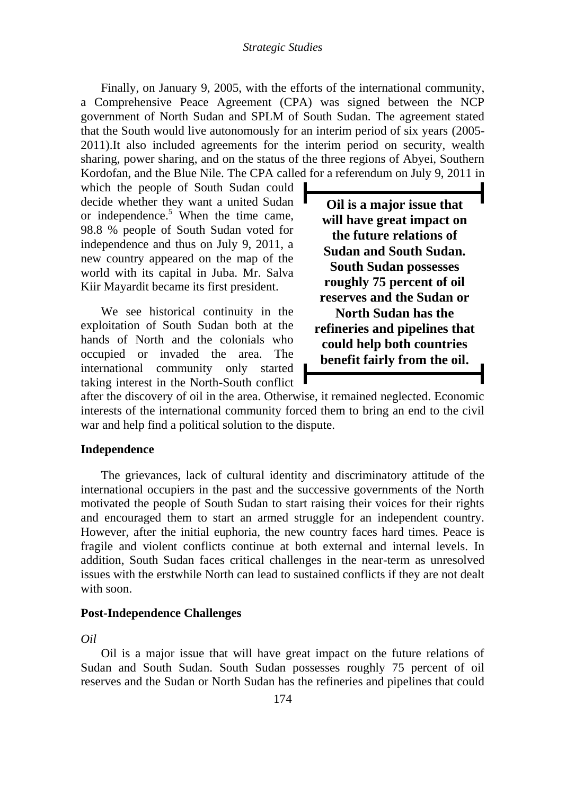#### *Strategic Studies*

Finally, on January 9, 2005, with the efforts of the international community, a Comprehensive Peace Agreement (CPA) was signed between the NCP government of North Sudan and SPLM of South Sudan. The agreement stated that the South would live autonomously for an interim period of six years (2005- 2011).It also included agreements for the interim period on security, wealth sharing, power sharing, and on the status of the three regions of Abyei, Southern Kordofan, and the Blue Nile. The CPA called for a referendum on July 9, 2011 in

which the people of South Sudan could decide whether they want a united Sudan or independence. <sup>5</sup> When the time came, 98.8 % people of South Sudan voted for independence and thus on July 9, 2011, a new country appeared on the map of the world with its capital in Juba. Mr. Salva Kiir Mayardit became its first president.

We see historical continuity in the exploitation of South Sudan both at the hands of North and the colonials who occupied or invaded the area. The international community only started taking interest in the North-South conflict

**Oil is a major issue that will have great impact on the future relations of Sudan and South Sudan. South Sudan possesses roughly 75 percent of oil reserves and the Sudan or North Sudan has the refineries and pipelines that could help both countries benefit fairly from the oil.**

after the discovery of oil in the area. Otherwise, it remained neglected. Economic interests of the international community forced them to bring an end to the civil war and help find a political solution to the dispute.

## **Independence**

The grievances, lack of cultural identity and discriminatory attitude of the international occupiers in the past and the successive governments of the North motivated the people of South Sudan to start raising their voices for their rights and encouraged them to start an armed struggle for an independent country. However, after the initial euphoria, the new country faces hard times. Peace is fragile and violent conflicts continue at both external and internal levels. In addition, South Sudan faces critical challenges in the near-term as unresolved issues with the erstwhile North can lead to sustained conflicts if they are not dealt with soon.

## **Post-Independence Challenges**

## *Oil*

Oil is a major issue that will have great impact on the future relations of Sudan and South Sudan. South Sudan possesses roughly 75 percent of oil reserves and the Sudan or North Sudan has the refineries and pipelines that could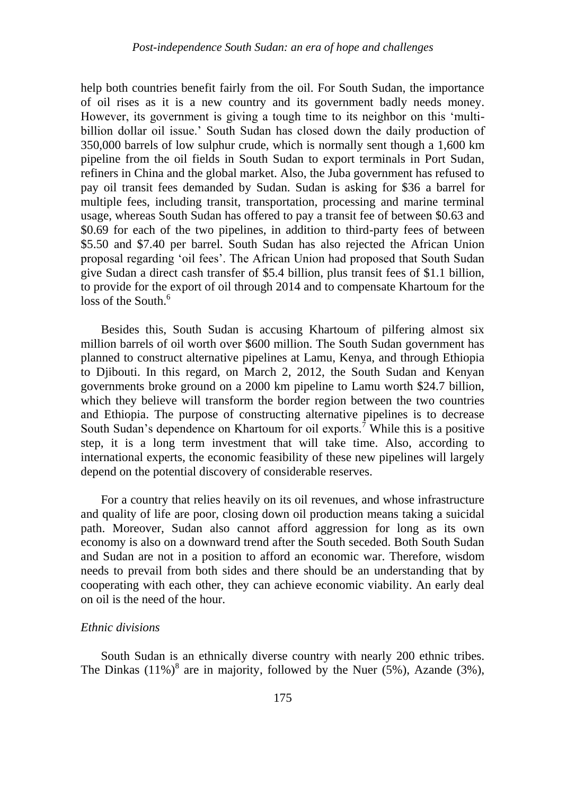help both countries benefit fairly from the oil. For South Sudan, the importance of oil rises as it is a new country and its government badly needs money. However, its government is giving a tough time to its neighbor on this "multibillion dollar oil issue.' South Sudan has closed down the daily production of 350,000 barrels of low sulphur crude, which is normally sent though a 1,600 km pipeline from the oil fields in South Sudan to export terminals in Port Sudan, refiners in China and the global market. Also, the Juba government has refused to pay oil transit fees demanded by Sudan. Sudan is asking for \$36 a barrel for multiple fees, including transit, transportation, processing and marine terminal usage, whereas South Sudan has offered to pay a transit fee of between \$0.63 and \$0.69 for each of the two pipelines, in addition to third-party fees of between \$5.50 and \$7.40 per barrel. South Sudan has also rejected the African Union proposal regarding "oil fees". The African Union had proposed that South Sudan give Sudan a direct cash transfer of \$5.4 billion, plus transit fees of \$1.1 billion, to provide for the export of oil through 2014 and to compensate Khartoum for the loss of the South.<sup>6</sup>

Besides this, South Sudan is accusing Khartoum of pilfering almost six million barrels of oil worth over \$600 million. The South Sudan government has planned to construct alternative pipelines at Lamu, Kenya, and through Ethiopia to Djibouti. In this regard, on March 2, 2012, the South Sudan and Kenyan governments broke ground on a 2000 km pipeline to Lamu worth \$24.7 billion, which they believe will transform the border region between the two countries and Ethiopia. The purpose of constructing alternative pipelines is to decrease South Sudan's dependence on Khartoum for oil exports.<sup>7</sup> While this is a positive step, it is a long term investment that will take time. Also, according to international experts, the economic feasibility of these new pipelines will largely depend on the potential discovery of considerable reserves.

For a country that relies heavily on its oil revenues, and whose infrastructure and quality of life are poor, closing down oil production means taking a suicidal path. Moreover, Sudan also cannot afford aggression for long as its own economy is also on a downward trend after the South seceded. Both South Sudan and Sudan are not in a position to afford an economic war. Therefore, wisdom needs to prevail from both sides and there should be an understanding that by cooperating with each other, they can achieve economic viability. An early deal on oil is the need of the hour.

### *Ethnic divisions*

South Sudan is an ethnically diverse country with nearly 200 ethnic tribes. The Dinkas  $(11\%)^8$  are in majority, followed by the Nuer (5%), Azande (3%),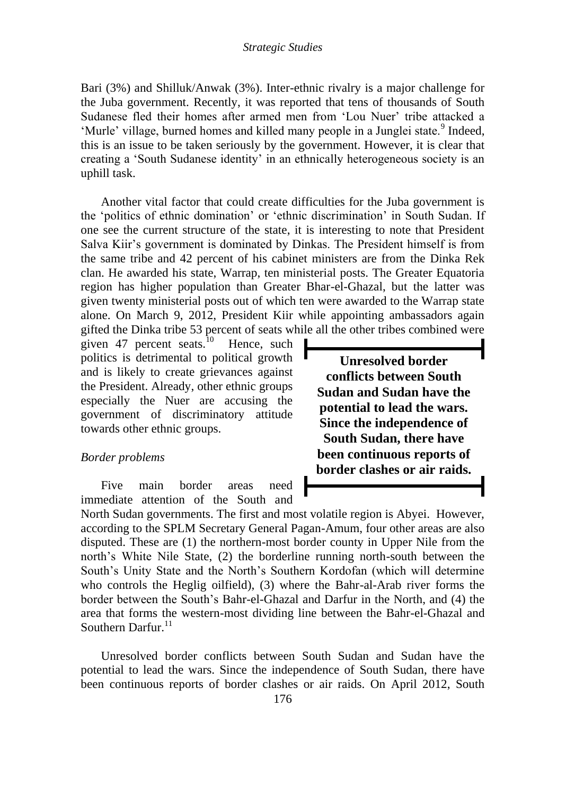Bari (3%) and Shilluk/Anwak (3%). Inter-ethnic rivalry is a major challenge for the Juba government. Recently, it was reported that tens of thousands of South Sudanese fled their homes after armed men from 'Lou Nuer' tribe attacked a 'Murle' village, burned homes and killed many people in a Junglei state.<sup>9</sup> Indeed, this is an issue to be taken seriously by the government. However, it is clear that creating a "South Sudanese identity" in an ethnically heterogeneous society is an uphill task.

Another vital factor that could create difficulties for the Juba government is the "politics of ethnic domination" or "ethnic discrimination" in South Sudan. If one see the current structure of the state, it is interesting to note that President Salva Kiir"s government is dominated by Dinkas. The President himself is from the same tribe and 42 percent of his cabinet ministers are from the Dinka Rek clan. He awarded his state, Warrap, ten ministerial posts. The Greater Equatoria region has higher population than Greater Bhar-el-Ghazal, but the latter was given twenty ministerial posts out of which ten were awarded to the Warrap state alone. On March 9, 2012, President Kiir while appointing ambassadors again gifted the Dinka tribe 53 percent of seats while all the other tribes combined were

given 47 percent seats.<sup>10</sup> Hence, such politics is detrimental to political growth and is likely to create grievances against the President. Already, other ethnic groups especially the Nuer are accusing the government of discriminatory attitude towards other ethnic groups.

# *Border problems*

Five main border areas need immediate attention of the South and

**Unresolved border conflicts between South Sudan and Sudan have the potential to lead the wars. Since the independence of South Sudan, there have been continuous reports of border clashes or air raids.**

North Sudan governments. The first and most volatile region is Abyei. However, according to the SPLM Secretary General Pagan-Amum, four other areas are also disputed. These are (1) the northern-most border county in Upper Nile from the north"s White Nile State, (2) the borderline running north-south between the South"s Unity State and the North"s Southern Kordofan (which will determine who controls the Heglig oilfield), (3) where the Bahr-al-Arab river forms the border between the South"s Bahr-el-Ghazal and Darfur in the North, and (4) the area that forms the western-most dividing line between the Bahr-el-Ghazal and Southern Darfur. $^{11}$ 

Unresolved border conflicts between South Sudan and Sudan have the potential to lead the wars. Since the independence of South Sudan, there have been continuous reports of border clashes or air raids. On April 2012, South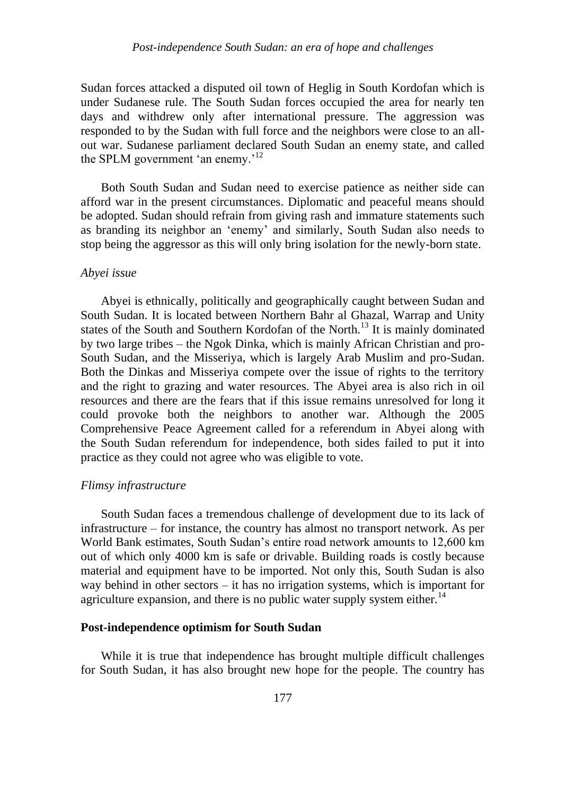Sudan forces attacked a disputed oil town of Heglig in South Kordofan which is under Sudanese rule. The South Sudan forces occupied the area for nearly ten days and withdrew only after international pressure. The aggression was responded to by the Sudan with full force and the neighbors were close to an allout war. Sudanese parliament declared South Sudan an enemy state, and called the SPLM government 'an enemy.<sup>12</sup>

Both South Sudan and Sudan need to exercise patience as neither side can afford war in the present circumstances. Diplomatic and peaceful means should be adopted. Sudan should refrain from giving rash and immature statements such as branding its neighbor an "enemy" and similarly, South Sudan also needs to stop being the aggressor as this will only bring isolation for the newly-born state.

## *Abyei issue*

Abyei is ethnically, politically and geographically caught between Sudan and South Sudan. It is located between Northern Bahr al Ghazal, Warrap and Unity states of the South and Southern Kordofan of the North.<sup>13</sup> It is mainly dominated by two large tribes – the Ngok Dinka, which is mainly African Christian and pro-South Sudan, and the Misseriya, which is largely Arab Muslim and pro-Sudan. Both the Dinkas and Misseriya compete over the issue of rights to the territory and the right to grazing and water resources. The Abyei area is also rich in oil resources and there are the fears that if this issue remains unresolved for long it could provoke both the neighbors to another war. Although the 2005 Comprehensive Peace Agreement called for a referendum in Abyei along with the South Sudan referendum for independence, both sides failed to put it into practice as they could not agree who was eligible to vote.

# *Flimsy infrastructure*

South Sudan faces a tremendous challenge of development due to its lack of infrastructure – for instance, the country has almost no transport network. As per World Bank estimates, South Sudan"s entire road network amounts to 12,600 km out of which only 4000 km is safe or drivable. Building roads is costly because material and equipment have to be imported. Not only this, South Sudan is also way behind in other sectors – it has no irrigation systems, which is important for agriculture expansion, and there is no public water supply system either.<sup>14</sup>

### **Post-independence optimism for South Sudan**

While it is true that independence has brought multiple difficult challenges for South Sudan, it has also brought new hope for the people. The country has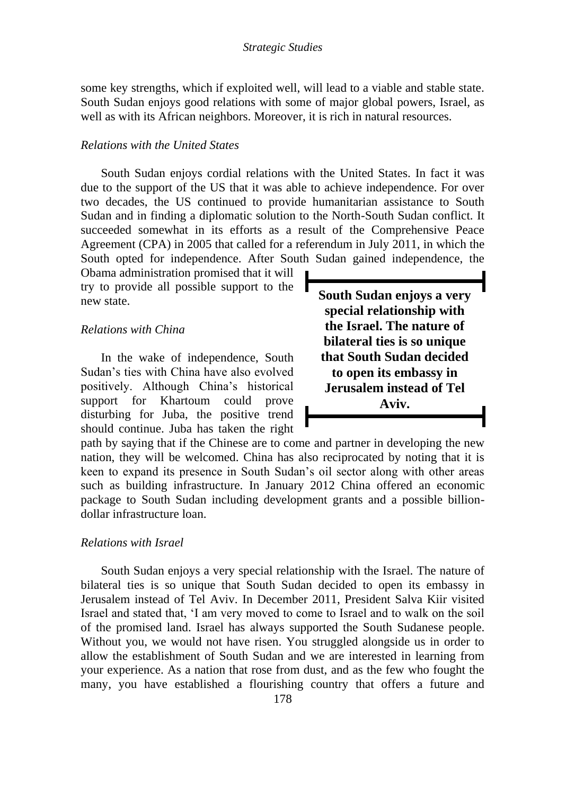some key strengths, which if exploited well, will lead to a viable and stable state. South Sudan enjoys good relations with some of major global powers, Israel, as well as with its African neighbors. Moreover, it is rich in natural resources.

## *Relations with the United States*

South Sudan enjoys cordial relations with the United States. In fact it was due to the support of the US that it was able to achieve independence. For over two decades, the US continued to provide humanitarian assistance to South Sudan and in finding a diplomatic solution to the North-South Sudan conflict. It succeeded somewhat in its efforts as a result of the Comprehensive Peace Agreement (CPA) in 2005 that called for a referendum in July 2011, in which the South opted for independence. After South Sudan gained independence, the

Obama administration promised that it will try to provide all possible support to the new state.

# *Relations with China*

In the wake of independence, South Sudan"s ties with China have also evolved positively. Although China"s historical support for Khartoum could prove disturbing for Juba, the positive trend should continue. Juba has taken the right **South Sudan enjoys a very special relationship with the Israel. The nature of bilateral ties is so unique that South Sudan decided to open its embassy in Jerusalem instead of Tel Aviv.**

path by saying that if the Chinese are to come and partner in developing the new nation, they will be welcomed. China has also reciprocated by noting that it is keen to expand its presence in South Sudan"s oil sector along with other areas such as building infrastructure. In January 2012 China offered an economic package to South Sudan including development grants and a possible billiondollar infrastructure loan.

# *Relations with Israel*

South Sudan enjoys a very special relationship with the Israel. The nature of bilateral ties is so unique that South Sudan decided to open its embassy in Jerusalem instead of Tel Aviv. In December 2011, President Salva Kiir visited Israel and stated that, "I am very moved to come to Israel and to walk on the soil of the promised land. Israel has always supported the South Sudanese people. Without you, we would not have risen. You struggled alongside us in order to allow the establishment of South Sudan and we are interested in learning from your experience. As a nation that rose from dust, and as the few who fought the many, you have established a flourishing country that offers a future and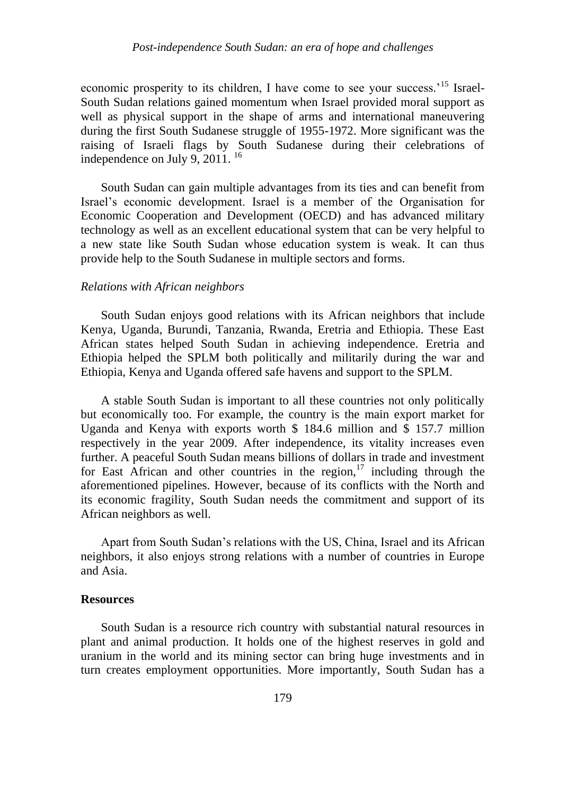economic prosperity to its children, I have come to see your success.<sup>15</sup> Israel-South Sudan relations gained momentum when Israel provided moral support as well as physical support in the shape of arms and international maneuvering during the first South Sudanese struggle of 1955-1972. More significant was the raising of Israeli flags by South Sudanese during their celebrations of independence on July 9, 2011.<sup>16</sup>

South Sudan can gain multiple advantages from its ties and can benefit from Israel"s economic development. Israel is a member of the Organisation for Economic Cooperation and Development (OECD) and has advanced military technology as well as an excellent educational system that can be very helpful to a new state like South Sudan whose education system is weak. It can thus provide help to the South Sudanese in multiple sectors and forms.

## *Relations with African neighbors*

South Sudan enjoys good relations with its African neighbors that include Kenya, Uganda, Burundi, Tanzania, Rwanda, Eretria and Ethiopia. These East African states helped South Sudan in achieving independence. Eretria and Ethiopia helped the SPLM both politically and militarily during the war and Ethiopia, Kenya and Uganda offered safe havens and support to the SPLM.

A stable South Sudan is important to all these countries not only politically but economically too. For example, the country is the main export market for Uganda and Kenya with exports worth \$ 184.6 million and \$ 157.7 million respectively in the year 2009. After independence, its vitality increases even further. A peaceful South Sudan means billions of dollars in trade and investment for East African and other countries in the region, $17$  including through the aforementioned pipelines. However, because of its conflicts with the North and its economic fragility, South Sudan needs the commitment and support of its African neighbors as well.

Apart from South Sudan"s relations with the US, China, Israel and its African neighbors, it also enjoys strong relations with a number of countries in Europe and Asia.

#### **Resources**

South Sudan is a resource rich country with substantial natural resources in plant and animal production. It holds one of the highest reserves in gold and uranium in the world and its mining sector can bring huge investments and in turn creates employment opportunities. More importantly, South Sudan has a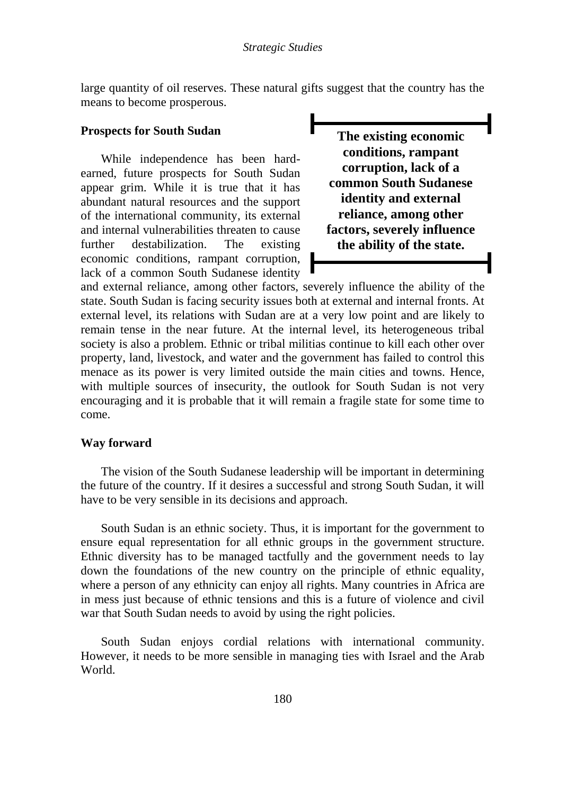large quantity of oil reserves. These natural gifts suggest that the country has the means to become prosperous.

# **Prospects for South Sudan**

While independence has been hardearned, future prospects for South Sudan appear grim. While it is true that it has abundant natural resources and the support of the international community, its external and internal vulnerabilities threaten to cause further destabilization. The existing economic conditions, rampant corruption, lack of a common South Sudanese identity

**The existing economic conditions, rampant corruption, lack of a common South Sudanese identity and external reliance, among other factors, severely influence the ability of the state.**

and external reliance, among other factors, severely influence the ability of the state. South Sudan is facing security issues both at external and internal fronts. At external level, its relations with Sudan are at a very low point and are likely to remain tense in the near future. At the internal level, its heterogeneous tribal society is also a problem. Ethnic or tribal militias continue to kill each other over property, land, livestock, and water and the government has failed to control this menace as its power is very limited outside the main cities and towns. Hence, with multiple sources of insecurity, the outlook for South Sudan is not very encouraging and it is probable that it will remain a fragile state for some time to come.

### **Way forward**

The vision of the South Sudanese leadership will be important in determining the future of the country. If it desires a successful and strong South Sudan, it will have to be very sensible in its decisions and approach.

South Sudan is an ethnic society. Thus, it is important for the government to ensure equal representation for all ethnic groups in the government structure. Ethnic diversity has to be managed tactfully and the government needs to lay down the foundations of the new country on the principle of ethnic equality, where a person of any ethnicity can enjoy all rights. Many countries in Africa are in mess just because of ethnic tensions and this is a future of violence and civil war that South Sudan needs to avoid by using the right policies.

South Sudan enjoys cordial relations with international community. However, it needs to be more sensible in managing ties with Israel and the Arab World.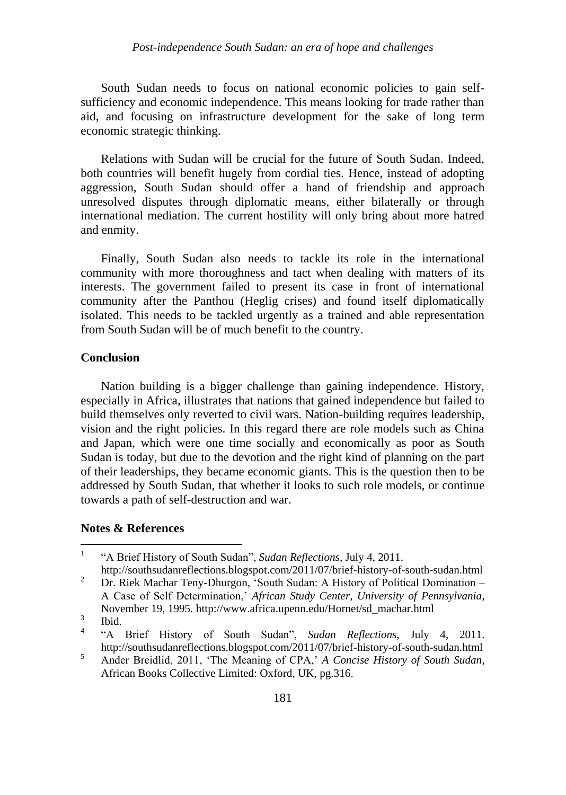South Sudan needs to focus on national economic policies to gain selfsufficiency and economic independence. This means looking for trade rather than aid, and focusing on infrastructure development for the sake of long term economic strategic thinking.

Relations with Sudan will be crucial for the future of South Sudan. Indeed, both countries will benefit hugely from cordial ties. Hence, instead of adopting aggression, South Sudan should offer a hand of friendship and approach unresolved disputes through diplomatic means, either bilaterally or through international mediation. The current hostility will only bring about more hatred and enmity.

Finally, South Sudan also needs to tackle its role in the international community with more thoroughness and tact when dealing with matters of its interests. The government failed to present its case in front of international community after the Panthou (Heglig crises) and found itself diplomatically isolated. This needs to be tackled urgently as a trained and able representation from South Sudan will be of much benefit to the country.

# **Conclusion**

Nation building is a bigger challenge than gaining independence. History, especially in Africa, illustrates that nations that gained independence but failed to build themselves only reverted to civil wars. Nation-building requires leadership, vision and the right policies. In this regard there are role models such as China and Japan, which were one time socially and economically as poor as South Sudan is today, but due to the devotion and the right kind of planning on the part of their leaderships, they became economic giants. This is the question then to be addressed by South Sudan, that whether it looks to such role models, or continue towards a path of self-destruction and war.

# **Notes & References**

 $\frac{1}{1}$ "A Brief History of South Sudan", *Sudan Reflections,* July 4, 2011.

http://southsudanreflections.blogspot.com/2011/07/brief-history-of-south-sudan.html <sup>2</sup> Dr. Riek Machar Teny-Dhurgon, 'South Sudan: A History of Political Domination – A Case of Self Determination," *African Study Center, University of Pennsylvania*, November 19, 1995*.* http://www.africa.upenn.edu/Hornet/sd\_machar.html

<sup>3</sup> Ibid.

<sup>4</sup> "A Brief History of South Sudan", *Sudan Reflections,* July 4, 2011. http://southsudanreflections.blogspot.com/2011/07/brief-history-of-south-sudan.html

<sup>5</sup> Ander Breidlid, 2011, "The Meaning of CPA," *A Concise History of South Sudan*, African Books Collective Limited: Oxford, UK, pg.316.